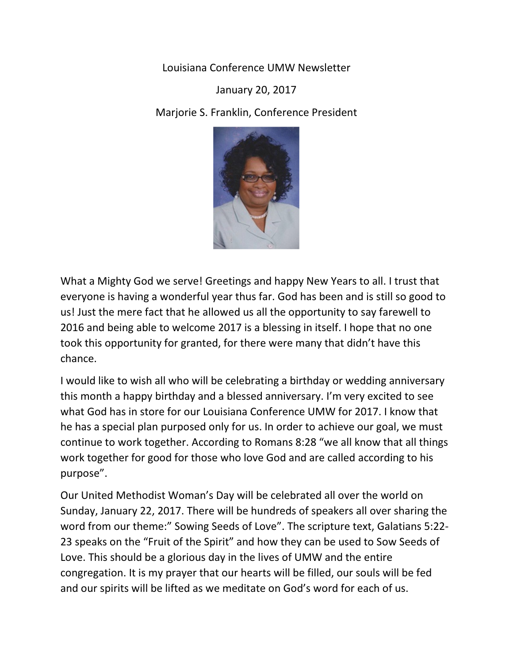Louisiana Conference UMW Newsletter

January 20, 2017

Marjorie S. Franklin, Conference President



What a Mighty God we serve! Greetings and happy New Years to all. I trust that everyone is having a wonderful year thus far. God has been and is still so good to us! Just the mere fact that he allowed us all the opportunity to say farewell to 2016 and being able to welcome 2017 is a blessing in itself. I hope that no one took this opportunity for granted, for there were many that didn't have this chance.

I would like to wish all who will be celebrating a birthday or wedding anniversary this month a happy birthday and a blessed anniversary. I'm very excited to see what God has in store for our Louisiana Conference UMW for 2017. I know that he has a special plan purposed only for us. In order to achieve our goal, we must continue to work together. According to Romans 8:28 "we all know that all things work together for good for those who love God and are called according to his purpose".

Our United Methodist Woman's Day will be celebrated all over the world on Sunday, January 22, 2017. There will be hundreds of speakers all over sharing the word from our theme:" Sowing Seeds of Love". The scripture text, Galatians 5:22- 23 speaks on the "Fruit of the Spirit" and how they can be used to Sow Seeds of Love. This should be a glorious day in the lives of UMW and the entire congregation. It is my prayer that our hearts will be filled, our souls will be fed and our spirits will be lifted as we meditate on God's word for each of us.